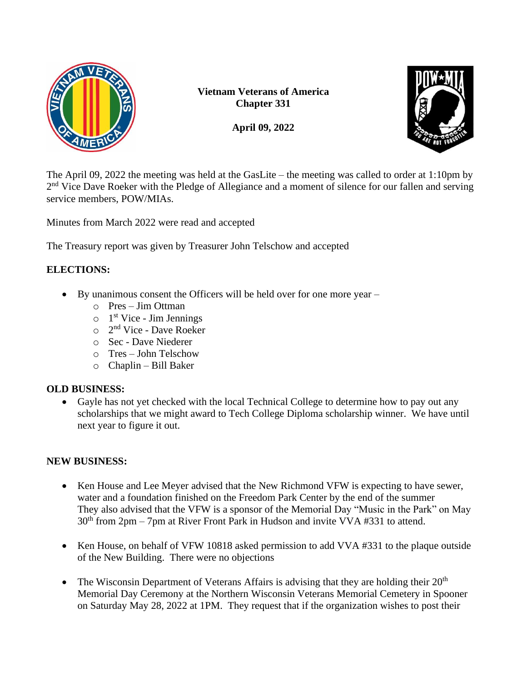

**Vietnam Veterans of America Chapter 331**

**April 09, 2022**



The April 09, 2022 the meeting was held at the GasLite – the meeting was called to order at 1:10pm by 2<sup>nd</sup> Vice Dave Roeker with the Pledge of Allegiance and a moment of silence for our fallen and serving service members, POW/MIAs.

Minutes from March 2022 were read and accepted

The Treasury report was given by Treasurer John Telschow and accepted

## **ELECTIONS:**

- By unanimous consent the Officers will be held over for one more year
	- o Pres Jim Ottman
	- $\circ$  1<sup>st</sup> Vice Jim Jennings
	- o 2<sup>nd</sup> Vice Dave Roeker
	- o Sec Dave Niederer
	- o Tres John Telschow
	- o Chaplin Bill Baker

### **OLD BUSINESS:**

• Gayle has not yet checked with the local Technical College to determine how to pay out any scholarships that we might award to Tech College Diploma scholarship winner. We have until next year to figure it out.

# **NEW BUSINESS:**

- Ken House and Lee Meyer advised that the New Richmond VFW is expecting to have sewer, water and a foundation finished on the Freedom Park Center by the end of the summer They also advised that the VFW is a sponsor of the Memorial Day "Music in the Park" on May  $30<sup>th</sup>$  from 2pm – 7pm at River Front Park in Hudson and invite VVA #331 to attend.
- Ken House, on behalf of VFW 10818 asked permission to add VVA #331 to the plaque outside of the New Building. There were no objections
- The Wisconsin Department of Veterans Affairs is advising that they are holding their  $20<sup>th</sup>$ Memorial Day Ceremony at the Northern Wisconsin Veterans Memorial Cemetery in Spooner on Saturday May 28, 2022 at 1PM. They request that if the organization wishes to post their